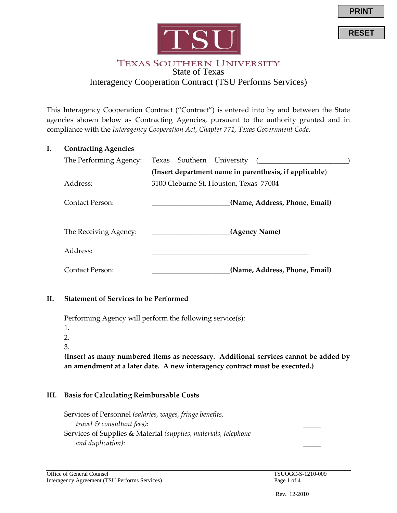

**RESET**



### **TEXAS SOUTHERN UNIVERSITY** State of Texas Interagency Cooperation Contract (TSU Performs Services)

This Interagency Cooperation Contract ("Contract") is entered into by and between the State agencies shown below as Contracting Agencies, pursuant to the authority granted and in compliance with the *Interagency Cooperation Act, Chapter 771, Texas Government Code*.

| Ι. | <b>Contracting Agencies</b> |                                                        |  |
|----|-----------------------------|--------------------------------------------------------|--|
|    | The Performing Agency:      | Texas Southern University                              |  |
|    |                             | (Insert department name in parenthesis, if applicable) |  |
|    | Address:                    | 3100 Cleburne St, Houston, Texas 77004                 |  |
|    | Contact Person:             | (Name, Address, Phone, Email)                          |  |
|    | The Receiving Agency:       | (Agency Name)                                          |  |
|    | Address:                    |                                                        |  |
|    | Contact Person:             | (Name, Address, Phone, Email)                          |  |
|    |                             |                                                        |  |

## **II. Statement of Services to be Performed**

Performing Agency will perform the following service(s):

1.

 $2^{\circ}$ 

3.

**(Insert as many numbered items as necessary. Additional services cannot be added by an amendment at a later date. A new interagency contract must be executed.)**

## **III. Basis for Calculating Reimbursable Costs**

Services of Personnel *(salaries, wages, fringe benefits, travel & consultant fees)*: \_\_\_\_\_ Services of Supplies & Material *(supplies, materials, telephone and duplication)*: \_\_\_\_\_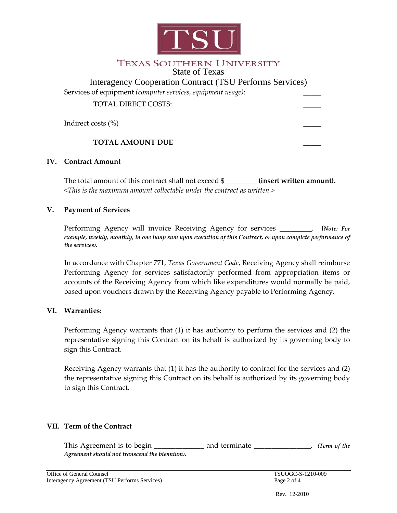

### **TEXAS SOUTHERN UNIVERSITY** State of Texas

| <b>Interagency Cooperation Contract (TSU Performs Services)</b> |  |  |
|-----------------------------------------------------------------|--|--|
| Services of equipment (computer services, equipment usage):     |  |  |
| <b>TOTAL DIRECT COSTS:</b>                                      |  |  |
| Indirect costs (%)                                              |  |  |
| <b>TOTAL AMOUNT DUE</b>                                         |  |  |

#### **IV. Contract Amount**

The total amount of this contract shall not exceed \$\_\_\_\_\_\_\_\_\_ **(insert written amount).** *<This is the maximum amount collectable under the contract as written.>*

#### **V. Payment of Services**

Performing Agency will invoice Receiving Agency for services \_\_\_\_\_\_\_\_\_. **(***Note: For example, weekly, monthly, in one lump sum upon execution of this Contract, or upon complete performance of the services).*

In accordance with Chapter 771, *Texas Government Code*, Receiving Agency shall reimburse Performing Agency for services satisfactorily performed from appropriation items or accounts of the Receiving Agency from which like expenditures would normally be paid, based upon vouchers drawn by the Receiving Agency payable to Performing Agency.

#### **VI. Warranties:**

Performing Agency warrants that (1) it has authority to perform the services and (2) the representative signing this Contract on its behalf is authorized by its governing body to sign this Contract.

Receiving Agency warrants that (1) it has the authority to contract for the services and (2) the representative signing this Contract on its behalf is authorized by its governing body to sign this Contract.

## **VII. Term of the Contract**

This Agreement is to begin \_\_\_\_\_\_\_\_\_\_\_\_\_\_ and terminate \_\_\_\_\_\_\_\_\_\_\_\_\_\_. *(Term of the Agreement should not transcend the biennium).*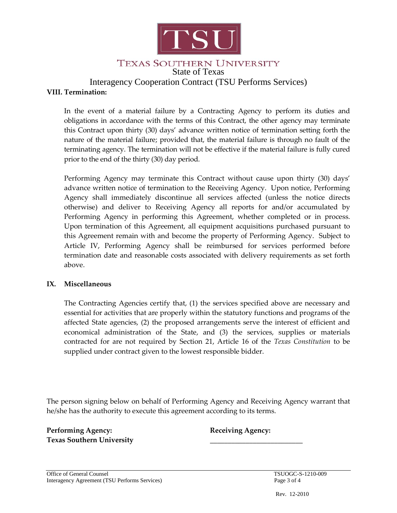

# TEXAS SOUTHERN UNIVERSITY

State of Texas

# Interagency Cooperation Contract (TSU Performs Services)

### **VIII. Termination:**

In the event of a material failure by a Contracting Agency to perform its duties and obligations in accordance with the terms of this Contract, the other agency may terminate this Contract upon thirty (30) days' advance written notice of termination setting forth the nature of the material failure; provided that, the material failure is through no fault of the terminating agency. The termination will not be effective if the material failure is fully cured prior to the end of the thirty (30) day period.

Performing Agency may terminate this Contract without cause upon thirty (30) days' advance written notice of termination to the Receiving Agency. Upon notice, Performing Agency shall immediately discontinue all services affected (unless the notice directs otherwise) and deliver to Receiving Agency all reports for and/or accumulated by Performing Agency in performing this Agreement, whether completed or in process. Upon termination of this Agreement, all equipment acquisitions purchased pursuant to this Agreement remain with and become the property of Performing Agency. Subject to Article IV, Performing Agency shall be reimbursed for services performed before termination date and reasonable costs associated with delivery requirements as set forth above.

#### **IX. Miscellaneous**

The Contracting Agencies certify that, (1) the services specified above are necessary and essential for activities that are properly within the statutory functions and programs of the affected State agencies, (2) the proposed arrangements serve the interest of efficient and economical administration of the State, and (3) the services, supplies or materials contracted for are not required by Section 21, Article 16 of the *Texas Constitution* to be supplied under contract given to the lowest responsible bidder.

The person signing below on behalf of Performing Agency and Receiving Agency warrant that he/she has the authority to execute this agreement according to its terms.

**Performing Agency: Receiving Agency: Texas Southern University** \_\_\_\_\_\_\_\_\_\_\_\_\_\_\_\_\_\_\_\_\_\_\_\_\_\_